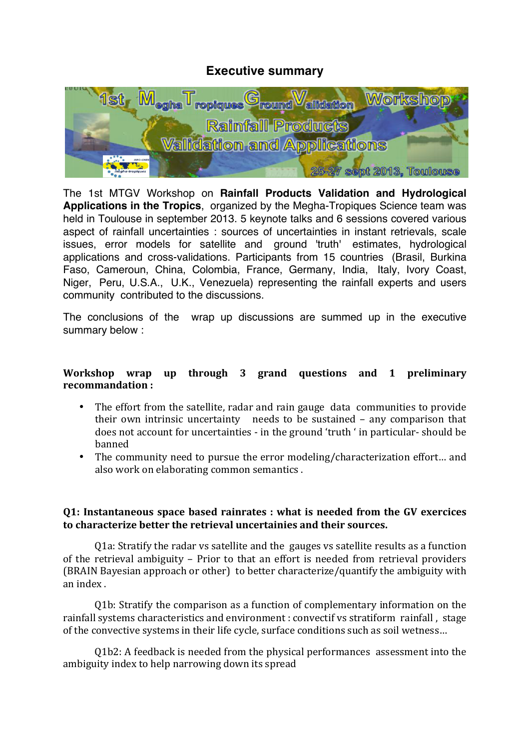# **Executive summary**



The 1st MTGV Workshop on **Rainfall Products Validation and Hydrological Applications in the Tropics**, organized by the Megha-Tropiques Science team was held in Toulouse in september 2013. 5 keynote talks and 6 sessions covered various aspect of rainfall uncertainties : sources of uncertainties in instant retrievals, scale issues, error models for satellite and ground 'truth' estimates, hydrological applications and cross-validations. Participants from 15 countries (Brasil, Burkina Faso, Cameroun, China, Colombia, France, Germany, India, Italy, Ivory Coast, Niger, Peru, U.S.A., U.K., Venezuela) representing the rainfall experts and users community contributed to the discussions.

The conclusions of the wrap up discussions are summed up in the executive summary below :

#### Workshop wrap up through 3 grand questions and 1 preliminary recommandation:

- The effort from the satellite, radar and rain gauge data communities to provide their own intrinsic uncertainty needs to be sustained – any comparison that does not account for uncertainties - in the ground 'truth ' in particular-should be banned
- The community need to pursue the error modeling/characterization effort... and also work on elaborating common semantics.

## **Q1: Instantaneous space based rainrates : what is needed from the GV exercices** to characterize better the retrieval uncertainies and their sources.

O1a: Stratify the radar vs satellite and the gauges vs satellite results as a function of the retrieval ambiguity – Prior to that an effort is needed from retrieval providers (BRAIN Bayesian approach or other) to better characterize/quantify the ambiguity with an index.

Q1b: Stratify the comparison as a function of complementary information on the rainfall systems characteristics and environment : convectif vs stratiform rainfall, stage of the convective systems in their life cycle, surface conditions such as soil wetness...

Q1b2: A feedback is needed from the physical performances assessment into the ambiguity index to help narrowing down its spread